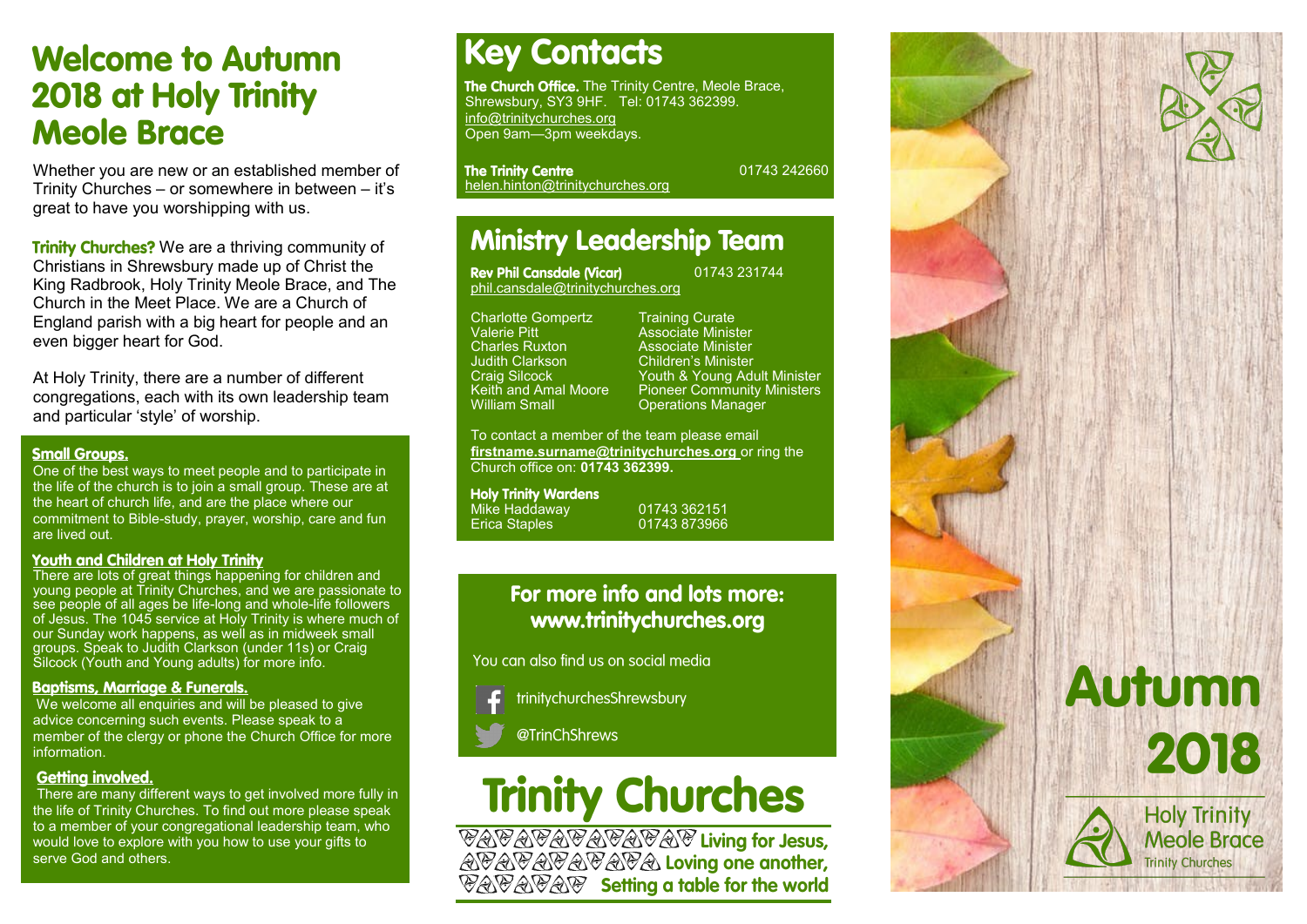## **Welcome to Autumn 2018 at Holy Trinity Meole Brace**

Whether you are new or an established member of Trinity Churches – or somewhere in between – it's great to have you worshipping with us.

Trinity Churches? We are a thriving community of Christians in Shrewsbury made up of Christ the King Radbrook, Holy Trinity Meole Brace, and The Church in the Meet Place. We are a Church of England parish with a big heart for people and an even bigger heart for God.

At Holy Trinity, there are a number of different congregations, each with its own leadership team and particular 'style' of worship.

### **Small Groups.**

One of the best ways to meet people and to participate in the life of the church is to join a small group. These are at the heart of church life, and are the place where our commitment to Bible-study, prayer, worship, care and fun are lived out.

### **Youth and Children at Holy Trinity**

There are lots of great things happening for children and young people at Trinity Churches, and we are passionate to see people of all ages be life-long and whole-life followers of Jesus. The 1045 service at Holy Trinity is where much of our Sunday work happens, as well as in midweek small groups. Speak to Judith Clarkson (under 11s) or Craig Silcock (Youth and Young adults) for more info.

### **Baptisms, Marriage & Funerals.**

We welcome all enquiries and will be pleased to give advice concerning such events. Please speak to a member of the clergy or phone the Church Office for more information.

### **Getting involved.**

There are many different ways to get involved more fully in the life of Trinity Churches. To find out more please speak to a member of your congregational leadership team, who would love to explore with you how to use your gifts to serve God and others.

## **Key Contacts**

The Church Office. The Trinity Centre, Meole Brace, Shrewsbury, SY3 9HF. Tel: 01743 362399. info@trinitychurches.org Open 9am—3pm weekdays.

The Trinity Centre<br>helen.hinton@trinitychurches.org

01743 242660

## **Ministry Leadership Team**

| Rev Phil Cansdale (Vicar)         | 01743 |
|-----------------------------------|-------|
| phil.cansdale@trinitychurches.org |       |

Charlotte Gompertz Training Curate<br>
Valerie Pitt Cassociate Minist Valerie Pitt **Associate Minister**<br>Charles Ruxton **Associate Minister** Charles Ruxton **Associate Minister**<br> **Children's Minister**<br>
Children's Minister Judith Clarkson Children's Minister<br>Craig Silcock Craig Youth & Young Ad

Craig Silcock Touth & Young Adult Minister<br>
Keith and Amal Moore Pioneer Community Ministers Keith and Amal Moore Pioneer Community Ministers<br>William Small Contrations Manager **Operations Manager** 

231744

To contact a member of the team please email **firstname.surname@trinitychurches.org** or ring the Church office on: **01743 362399.** 

**Holy Trinity Wardens** 

Mike Haddaway 01743 362151 01743 873966

### For more info and lots more: www.trinitychurches.org

You can also find us on social media

trinitychurchesShrewsbury

@TrinChShrews

# **Trinity Churches**

**VAVAVAVAVAV Living for Jesus,<br>AVAVAVAVAVA Loving one another,<br>VAVAVAV Setting a table for the world**